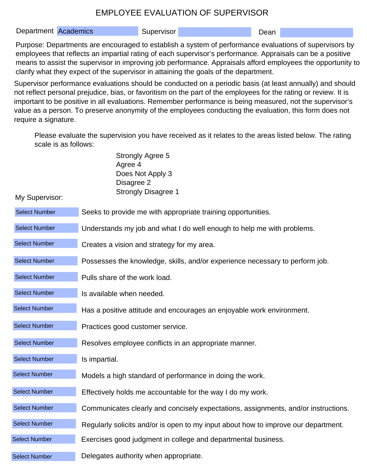## EMPLOYEE EVALUATION OF SUPERVISOR

| Department Academics |                                                                                    | Supervisor                                                         |                                                                                                                                                                                                                                                                                                                                                                                                                                                      | Dean |  |
|----------------------|------------------------------------------------------------------------------------|--------------------------------------------------------------------|------------------------------------------------------------------------------------------------------------------------------------------------------------------------------------------------------------------------------------------------------------------------------------------------------------------------------------------------------------------------------------------------------------------------------------------------------|------|--|
|                      |                                                                                    |                                                                    | Purpose: Departments are encouraged to establish a system of performance evaluations of supervisors b<br>employees that reflects an impartial rating of each supervisor's performance. Appraisals can be a positive<br>means to assist the supervisor in improving job performance. Appraisals afford employees the opportunity<br>clarify what they expect of the supervisor in attaining the goals of the department.                              |      |  |
| require a signature. |                                                                                    |                                                                    | Supervisor performance evaluations should be conducted on a periodic basis (at least annually) and shoul<br>not reflect personal prejudice, bias, or favoritism on the part of the employees for the rating or review. It is<br>important to be positive in all evaluations. Remember performance is being measured, not the supervisor's<br>value as a person. To preserve anonymity of the employees conducting the evaluation, this form does not |      |  |
| scale is as follows: |                                                                                    |                                                                    | Please evaluate the supervision you have received as it relates to the areas listed below. The rating                                                                                                                                                                                                                                                                                                                                                |      |  |
| My Supervisor:       | Agree 4<br>Disagree 2                                                              | Strongly Agree 5<br>Does Not Apply 3<br><b>Strongly Disagree 1</b> |                                                                                                                                                                                                                                                                                                                                                                                                                                                      |      |  |
| <b>Select Number</b> |                                                                                    |                                                                    | Seeks to provide me with appropriate training opportunities.                                                                                                                                                                                                                                                                                                                                                                                         |      |  |
| <b>Select Number</b> |                                                                                    |                                                                    | Understands my job and what I do well enough to help me with problems.                                                                                                                                                                                                                                                                                                                                                                               |      |  |
| <b>Select Number</b> | Creates a vision and strategy for my area.                                         |                                                                    |                                                                                                                                                                                                                                                                                                                                                                                                                                                      |      |  |
| <b>Select Number</b> | Possesses the knowledge, skills, and/or experience necessary to perform job.       |                                                                    |                                                                                                                                                                                                                                                                                                                                                                                                                                                      |      |  |
| <b>Select Number</b> | Pulls share of the work load.                                                      |                                                                    |                                                                                                                                                                                                                                                                                                                                                                                                                                                      |      |  |
| <b>Select Number</b> | Is available when needed.                                                          |                                                                    |                                                                                                                                                                                                                                                                                                                                                                                                                                                      |      |  |
| <b>Select Number</b> |                                                                                    |                                                                    | Has a positive attitude and encourages an enjoyable work environment.                                                                                                                                                                                                                                                                                                                                                                                |      |  |
| <b>Select Number</b> | Practices good customer service.                                                   |                                                                    |                                                                                                                                                                                                                                                                                                                                                                                                                                                      |      |  |
| <b>Select Number</b> | Resolves employee conflicts in an appropriate manner.                              |                                                                    |                                                                                                                                                                                                                                                                                                                                                                                                                                                      |      |  |
| <b>Select Number</b> | Is impartial.                                                                      |                                                                    |                                                                                                                                                                                                                                                                                                                                                                                                                                                      |      |  |
| <b>Select Number</b> |                                                                                    |                                                                    | Models a high standard of performance in doing the work.                                                                                                                                                                                                                                                                                                                                                                                             |      |  |
| <b>Select Number</b> |                                                                                    |                                                                    | Effectively holds me accountable for the way I do my work.                                                                                                                                                                                                                                                                                                                                                                                           |      |  |
| <b>Select Number</b> |                                                                                    |                                                                    | Communicates clearly and concisely expectations, assignments, and/or instructions.                                                                                                                                                                                                                                                                                                                                                                   |      |  |
| <b>Select Number</b> | Regularly solicits and/or is open to my input about how to improve our department. |                                                                    |                                                                                                                                                                                                                                                                                                                                                                                                                                                      |      |  |
| <b>Select Number</b> | Exercises good judgment in college and departmental business.                      |                                                                    |                                                                                                                                                                                                                                                                                                                                                                                                                                                      |      |  |
| <b>Select Number</b> | Delegates authority when appropriate.                                              |                                                                    |                                                                                                                                                                                                                                                                                                                                                                                                                                                      |      |  |